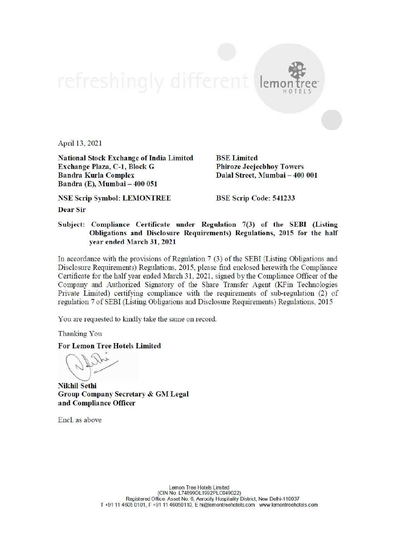lemon tree HOTELS

April 13, 2021

National Stock Exchange of India Limited BSE Limited Exchange Plaza, C-1, Block G Phiroze Jeejeebhoy Towers Bandra Kurla Complex Dalal Street, Mumbai — 400 001 Bandra (E), Mumbai — 400 051

NSE Scrip Symbol: LEMONTREE BSE Scrip Code: 541233

Dear Sir

Subject: Compliance Certificate under Regulation 7(3) of the SEBI (Listing Obligations and Disclosure Requirements) Regulations, 2015 for the half year ended March 31, 2021

Tn accordance with the provisions of Regulation 7 (3) of the SEBI (Listing Obligations and Disclosure Requirements) Regulations, 2015, please find enclosed herewith the Compliance Certificate for the half year ended March 31, 2021, signed by the Compliance Officer of the Company and Authorized Signatory of the Share Transfer Agent (KFin Technologies Private Limited) certifying compliance with the requirements of sub-regulation (2) of regulation 7 of SEBI (Listing Obligations and Disclosure Requirements) Regulations, 2015

You are requested to kindly take the same on record.

Thanking You

For Lemon Tree Hotels Limited

Nikhil Sethi Group Company Secretary & GM Legal and Compliance Officer

Encl. as above